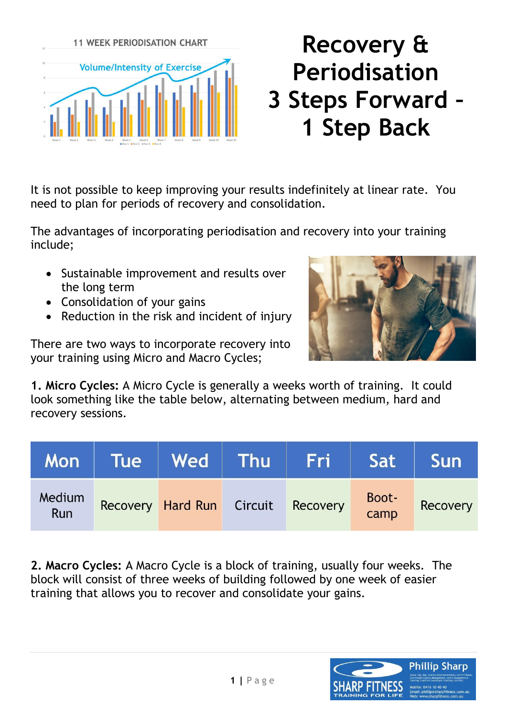

## **Recovery & Periodisation 3 Steps Forward – 1 Step Back**

It is not possible to keep improving your results indefinitely at linear rate. You need to plan for periods of recovery and consolidation.

The advantages of incorporating periodisation and recovery into your training include;

- Sustainable improvement and results over the long term
- Consolidation of your gains
- Reduction in the risk and incident of injury

There are two ways to incorporate recovery into your training using Micro and Macro Cycles;



**1. Micro Cycles:** A Micro Cycle is generally a weeks worth of training. It could look something like the table below, alternating between medium, hard and recovery sessions.

| Mon           |                                    | Tue   Wed   Thu   Fri   Sat |               | <b>Sun</b> |
|---------------|------------------------------------|-----------------------------|---------------|------------|
| Medium<br>Run | Recovery Hard Run Circuit Recovery |                             | Boot-<br>camp | Recovery   |

**2. Macro Cycles:** A Macro Cycle is a block of training, usually four weeks. The block will consist of three weeks of building followed by one week of easier training that allows you to recover and consolidate your gains.